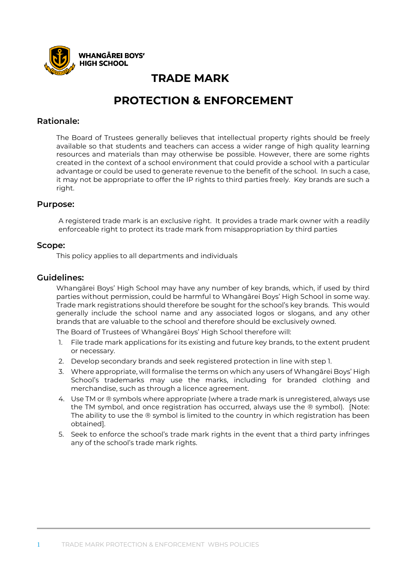

## **TRADE MARK**

# **PROTECTION & ENFORCEMENT**

### **Rationale:**

The Board of Trustees generally believes that intellectual property rights should be freely available so that students and teachers can access a wider range of high quality learning resources and materials than may otherwise be possible. However, there are some rights created in the context of a school environment that could provide a school with a particular advantage or could be used to generate revenue to the benefit of the school. In such a case, it may not be appropriate to offer the IP rights to third parties freely. Key brands are such a right.

#### **Purpose:**

A registered trade mark is an exclusive right. It provides a trade mark owner with a readily enforceable right to protect its trade mark from misappropriation by third parties

#### **Scope:**

This policy applies to all departments and individuals

#### **Guidelines:**

Whangārei Boys' High School may have any number of key brands, which, if used by third parties without permission, could be harmful to Whangārei Boys' High School in some way. Trade mark registrations should therefore be sought for the school's key brands. This would generally include the school name and any associated logos or slogans, and any other brands that are valuable to the school and therefore should be exclusively owned.

The Board of Trustees of Whangārei Boys' High School therefore will:

- 1. File trade mark applications for its existing and future key brands, to the extent prudent or necessary.
- 2. Develop secondary brands and seek registered protection in line with step 1.
- 3. Where appropriate, will formalise the terms on which any users of Whangārei Boys' High School's trademarks may use the marks, including for branded clothing and merchandise, such as through a licence agreement.
- 4. Use TM or ® symbols where appropriate (where a trade mark is unregistered, always use the TM symbol, and once registration has occurred, always use the ® symbol). [Note: The ability to use the ® symbol is limited to the country in which registration has been obtained].
- 5. Seek to enforce the school's trade mark rights in the event that a third party infringes any of the school's trade mark rights.